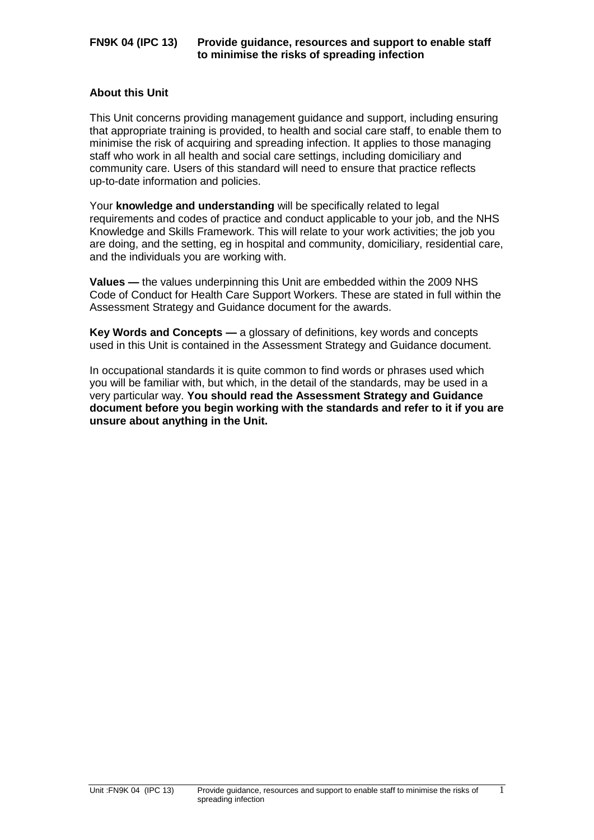### **About this Unit**

This Unit concerns providing management guidance and support, including ensuring that appropriate training is provided, to health and social care staff, to enable them to minimise the risk of acquiring and spreading infection. It applies to those managing staff who work in all health and social care settings, including domiciliary and community care. Users of this standard will need to ensure that practice reflects up-to-date information and policies.

Your **knowledge and understanding** will be specifically related to legal requirements and codes of practice and conduct applicable to your job, and the NHS Knowledge and Skills Framework. This will relate to your work activities; the job you are doing, and the setting, eg in hospital and community, domiciliary, residential care, and the individuals you are working with.

**Values —** the values underpinning this Unit are embedded within the 2009 NHS Code of Conduct for Health Care Support Workers. These are stated in full within the Assessment Strategy and Guidance document for the awards.

**Key Words and Concepts —** a glossary of definitions, key words and concepts used in this Unit is contained in the Assessment Strategy and Guidance document.

In occupational standards it is quite common to find words or phrases used which you will be familiar with, but which, in the detail of the standards, may be used in a very particular way. **You should read the Assessment Strategy and Guidance document before you begin working with the standards and refer to it if you are unsure about anything in the Unit.**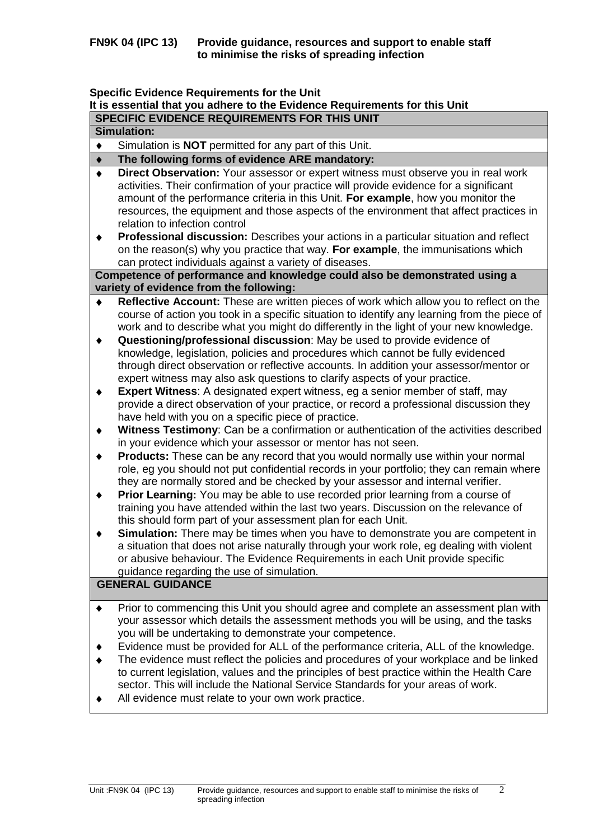# **Specific Evidence Requirements for the Unit**

|                    | It is essential that you adhere to the Evidence Requirements for this Unit                                                                                                                                                                                                                                                                                     |  |  |  |  |  |
|--------------------|----------------------------------------------------------------------------------------------------------------------------------------------------------------------------------------------------------------------------------------------------------------------------------------------------------------------------------------------------------------|--|--|--|--|--|
|                    | SPECIFIC EVIDENCE REQUIREMENTS FOR THIS UNIT                                                                                                                                                                                                                                                                                                                   |  |  |  |  |  |
| <b>Simulation:</b> |                                                                                                                                                                                                                                                                                                                                                                |  |  |  |  |  |
| $\blacklozenge$    | Simulation is NOT permitted for any part of this Unit.                                                                                                                                                                                                                                                                                                         |  |  |  |  |  |
| $\blacklozenge$    | The following forms of evidence ARE mandatory:                                                                                                                                                                                                                                                                                                                 |  |  |  |  |  |
| $\blacklozenge$    | Direct Observation: Your assessor or expert witness must observe you in real work<br>activities. Their confirmation of your practice will provide evidence for a significant                                                                                                                                                                                   |  |  |  |  |  |
|                    | amount of the performance criteria in this Unit. For example, how you monitor the<br>resources, the equipment and those aspects of the environment that affect practices in<br>relation to infection control                                                                                                                                                   |  |  |  |  |  |
| ٠                  | Professional discussion: Describes your actions in a particular situation and reflect<br>on the reason(s) why you practice that way. For example, the immunisations which<br>can protect individuals against a variety of diseases.                                                                                                                            |  |  |  |  |  |
|                    | Competence of performance and knowledge could also be demonstrated using a<br>variety of evidence from the following:                                                                                                                                                                                                                                          |  |  |  |  |  |
| ٠                  | Reflective Account: These are written pieces of work which allow you to reflect on the                                                                                                                                                                                                                                                                         |  |  |  |  |  |
|                    | course of action you took in a specific situation to identify any learning from the piece of<br>work and to describe what you might do differently in the light of your new knowledge.                                                                                                                                                                         |  |  |  |  |  |
| ٠                  | Questioning/professional discussion: May be used to provide evidence of<br>knowledge, legislation, policies and procedures which cannot be fully evidenced<br>through direct observation or reflective accounts. In addition your assessor/mentor or<br>expert witness may also ask questions to clarify aspects of your practice.                             |  |  |  |  |  |
| ٠                  | <b>Expert Witness:</b> A designated expert witness, eg a senior member of staff, may<br>provide a direct observation of your practice, or record a professional discussion they<br>have held with you on a specific piece of practice.                                                                                                                         |  |  |  |  |  |
| ٠                  | Witness Testimony: Can be a confirmation or authentication of the activities described<br>in your evidence which your assessor or mentor has not seen.                                                                                                                                                                                                         |  |  |  |  |  |
| ٠                  | <b>Products:</b> These can be any record that you would normally use within your normal<br>role, eg you should not put confidential records in your portfolio; they can remain where<br>they are normally stored and be checked by your assessor and internal verifier.                                                                                        |  |  |  |  |  |
| ٠                  | Prior Learning: You may be able to use recorded prior learning from a course of<br>training you have attended within the last two years. Discussion on the relevance of<br>this should form part of your assessment plan for each Unit.                                                                                                                        |  |  |  |  |  |
|                    | Simulation: There may be times when you have to demonstrate you are competent in<br>a situation that does not arise naturally through your work role, eg dealing with violent<br>or abusive behaviour. The Evidence Requirements in each Unit provide specific<br>guidance regarding the use of simulation.                                                    |  |  |  |  |  |
|                    | <b>GENERAL GUIDANCE</b>                                                                                                                                                                                                                                                                                                                                        |  |  |  |  |  |
| ٠                  | Prior to commencing this Unit you should agree and complete an assessment plan with<br>your assessor which details the assessment methods you will be using, and the tasks<br>you will be undertaking to demonstrate your competence.                                                                                                                          |  |  |  |  |  |
|                    | Evidence must be provided for ALL of the performance criteria, ALL of the knowledge.<br>The evidence must reflect the policies and procedures of your workplace and be linked<br>to current legislation, values and the principles of best practice within the Health Care<br>sector. This will include the National Service Standards for your areas of work. |  |  |  |  |  |

All evidence must relate to your own work practice. $\bullet$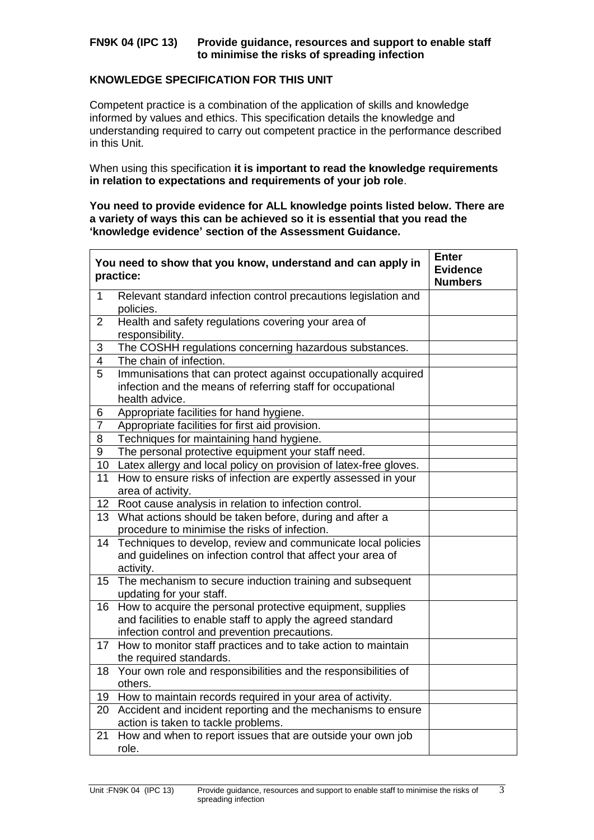## **FN9K 04 (IPC 13) Provide guidance, resources and support to enable staff to minimise the risks of spreading infection**

## **KNOWLEDGE SPECIFICATION FOR THIS UNIT**

Competent practice is a combination of the application of skills and knowledge informed by values and ethics. This specification details the knowledge and understanding required to carry out competent practice in the performance described in this Unit.

When using this specification **it is important to read the knowledge requirements in relation to expectations and requirements of your job role**.

### **You need to provide evidence for ALL knowledge points listed below. There are a variety of ways this can be achieved so it is essential that you read the 'knowledge evidence' section of the Assessment Guidance.**

|                 | You need to show that you know, understand and can apply in<br>practice:                                                                                                   | <b>Enter</b><br><b>Evidence</b><br><b>Numbers</b> |
|-----------------|----------------------------------------------------------------------------------------------------------------------------------------------------------------------------|---------------------------------------------------|
| $\mathbf{1}$    | Relevant standard infection control precautions legislation and<br>policies.                                                                                               |                                                   |
| 2               | Health and safety regulations covering your area of<br>responsibility.                                                                                                     |                                                   |
| 3               | The COSHH regulations concerning hazardous substances.                                                                                                                     |                                                   |
| $\overline{4}$  | The chain of infection.                                                                                                                                                    |                                                   |
| 5               | Immunisations that can protect against occupationally acquired<br>infection and the means of referring staff for occupational<br>health advice.                            |                                                   |
| 6               | Appropriate facilities for hand hygiene.                                                                                                                                   |                                                   |
| $\overline{7}$  | Appropriate facilities for first aid provision.                                                                                                                            |                                                   |
| 8               | Techniques for maintaining hand hygiene.                                                                                                                                   |                                                   |
| $\overline{9}$  | The personal protective equipment your staff need.                                                                                                                         |                                                   |
| 10              | Latex allergy and local policy on provision of latex-free gloves.                                                                                                          |                                                   |
| 11              | How to ensure risks of infection are expertly assessed in your<br>area of activity.                                                                                        |                                                   |
| 12 <sub>2</sub> | Root cause analysis in relation to infection control.                                                                                                                      |                                                   |
|                 | 13 What actions should be taken before, during and after a<br>procedure to minimise the risks of infection.                                                                |                                                   |
| 14              | Techniques to develop, review and communicate local policies<br>and guidelines on infection control that affect your area of<br>activity.                                  |                                                   |
|                 | 15 The mechanism to secure induction training and subsequent<br>updating for your staff.                                                                                   |                                                   |
| 16              | How to acquire the personal protective equipment, supplies<br>and facilities to enable staff to apply the agreed standard<br>infection control and prevention precautions. |                                                   |
|                 | 17 How to monitor staff practices and to take action to maintain<br>the required standards.                                                                                |                                                   |
|                 | 18 Your own role and responsibilities and the responsibilities of<br>others.                                                                                               |                                                   |
|                 | 19 How to maintain records required in your area of activity.                                                                                                              |                                                   |
| 20              | Accident and incident reporting and the mechanisms to ensure<br>action is taken to tackle problems.                                                                        |                                                   |
| 21              | How and when to report issues that are outside your own job<br>role.                                                                                                       |                                                   |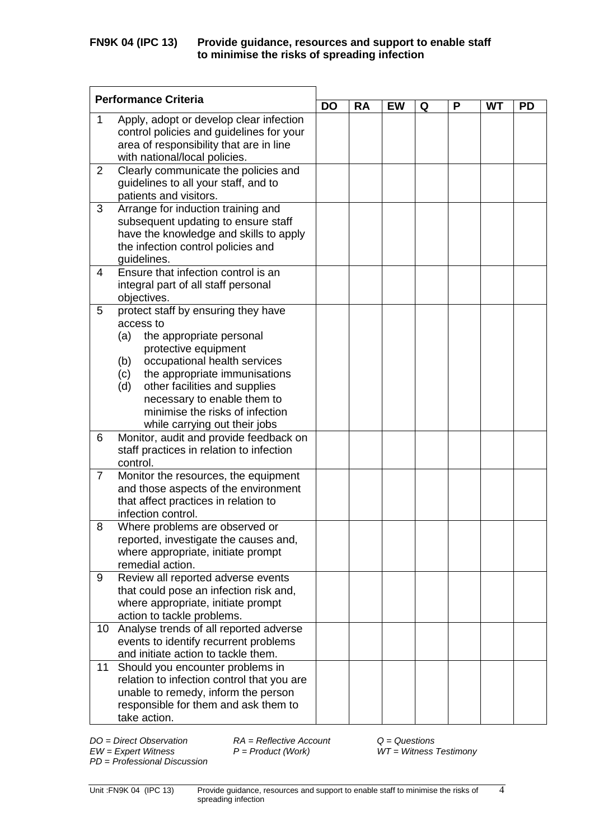|                | <b>Performance Criteria</b>                                                         |           |           |           |   |   |           |           |
|----------------|-------------------------------------------------------------------------------------|-----------|-----------|-----------|---|---|-----------|-----------|
|                |                                                                                     | <b>DO</b> | <b>RA</b> | <b>EW</b> | Q | P | <b>WT</b> | <b>PD</b> |
| 1              | Apply, adopt or develop clear infection<br>control policies and guidelines for your |           |           |           |   |   |           |           |
|                | area of responsibility that are in line<br>with national/local policies.            |           |           |           |   |   |           |           |
| 2              | Clearly communicate the policies and                                                |           |           |           |   |   |           |           |
|                | guidelines to all your staff, and to<br>patients and visitors.                      |           |           |           |   |   |           |           |
| 3              | Arrange for induction training and                                                  |           |           |           |   |   |           |           |
|                | subsequent updating to ensure staff<br>have the knowledge and skills to apply       |           |           |           |   |   |           |           |
|                | the infection control policies and                                                  |           |           |           |   |   |           |           |
|                | guidelines.                                                                         |           |           |           |   |   |           |           |
| 4              | Ensure that infection control is an<br>integral part of all staff personal          |           |           |           |   |   |           |           |
|                | objectives.                                                                         |           |           |           |   |   |           |           |
| 5              | protect staff by ensuring they have                                                 |           |           |           |   |   |           |           |
|                | access to<br>(a)<br>the appropriate personal                                        |           |           |           |   |   |           |           |
|                | protective equipment                                                                |           |           |           |   |   |           |           |
|                | occupational health services<br>(b)                                                 |           |           |           |   |   |           |           |
|                | the appropriate immunisations<br>(c)                                                |           |           |           |   |   |           |           |
|                | other facilities and supplies<br>(d)                                                |           |           |           |   |   |           |           |
|                | necessary to enable them to                                                         |           |           |           |   |   |           |           |
|                | minimise the risks of infection                                                     |           |           |           |   |   |           |           |
|                | while carrying out their jobs                                                       |           |           |           |   |   |           |           |
| 6              | Monitor, audit and provide feedback on                                              |           |           |           |   |   |           |           |
|                | staff practices in relation to infection<br>control.                                |           |           |           |   |   |           |           |
| $\overline{7}$ | Monitor the resources, the equipment                                                |           |           |           |   |   |           |           |
|                | and those aspects of the environment                                                |           |           |           |   |   |           |           |
|                | that affect practices in relation to                                                |           |           |           |   |   |           |           |
|                | infection control.                                                                  |           |           |           |   |   |           |           |
| 8              | Where problems are observed or                                                      |           |           |           |   |   |           |           |
|                | reported, investigate the causes and,                                               |           |           |           |   |   |           |           |
|                | where appropriate, initiate prompt<br>remedial action.                              |           |           |           |   |   |           |           |
| 9              | Review all reported adverse events                                                  |           |           |           |   |   |           |           |
|                | that could pose an infection risk and,                                              |           |           |           |   |   |           |           |
|                | where appropriate, initiate prompt                                                  |           |           |           |   |   |           |           |
|                | action to tackle problems.                                                          |           |           |           |   |   |           |           |
| 10             | Analyse trends of all reported adverse                                              |           |           |           |   |   |           |           |
|                | events to identify recurrent problems                                               |           |           |           |   |   |           |           |
|                | and initiate action to tackle them.                                                 |           |           |           |   |   |           |           |
| 11             | Should you encounter problems in                                                    |           |           |           |   |   |           |           |
|                | relation to infection control that you are<br>unable to remedy, inform the person   |           |           |           |   |   |           |           |
|                | responsible for them and ask them to                                                |           |           |           |   |   |           |           |
|                | take action.                                                                        |           |           |           |   |   |           |           |

*PD* = *Professional Discussion*

*DO = Direct Observation RA = Reflective Account Q = Questions*

*EW = Expert Witness P = Product (Work) WT = Witness Testimony*